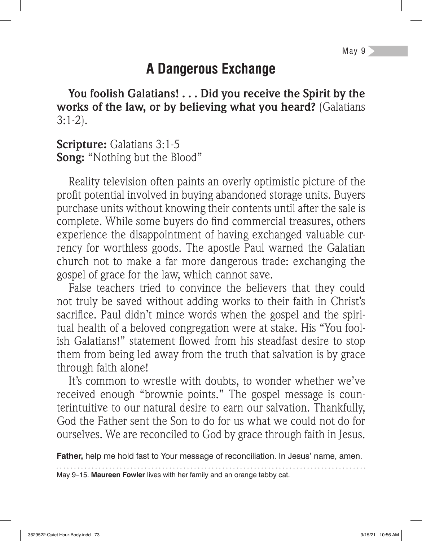# **A Dangerous Exchange**

**You foolish Galatians! . . . Did you receive the Spirit by the works of the law, or by believing what you heard?** (Galatians 3:1-2).

**Scripture:** Galatians 3:1-5 **Song:** "Nothing but the Blood"

Reality television often paints an overly optimistic picture of the profit potential involved in buying abandoned storage units. Buyers purchase units without knowing their contents until after the sale is complete. While some buyers do find commercial treasures, others experience the disappointment of having exchanged valuable currency for worthless goods. The apostle Paul warned the Galatian church not to make a far more dangerous trade: exchanging the gospel of grace for the law, which cannot save.

False teachers tried to convince the believers that they could not truly be saved without adding works to their faith in Christ's sacrifice. Paul didn't mince words when the gospel and the spiritual health of a beloved congregation were at stake. His "You foolish Galatians!" statement flowed from his steadfast desire to stop them from being led away from the truth that salvation is by grace through faith alone!

It's common to wrestle with doubts, to wonder whether we've received enough "brownie points." The gospel message is counterintuitive to our natural desire to earn our salvation. Thankfully, God the Father sent the Son to do for us what we could not do for ourselves. We are reconciled to God by grace through faith in Jesus.

**Father,** help me hold fast to Your message of reconciliation. In Jesus' name, amen.

May 9–15. **Maureen Fowler** lives with her family and an orange tabby cat.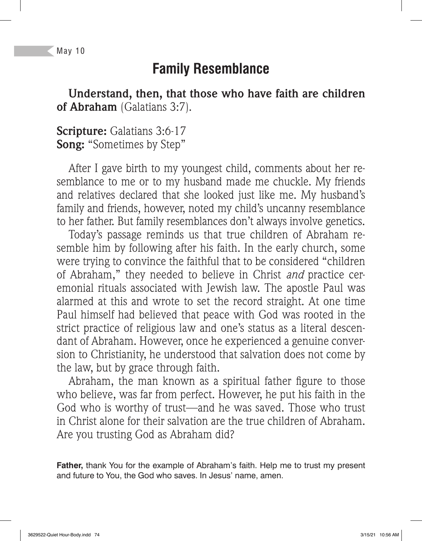#### May 10

# **Family Resemblance**

**Understand, then, that those who have faith are children of Abraham** (Galatians 3:7).

**Scripture:** Galatians 3:6-17 **Song:** "Sometimes by Step"

After I gave birth to my youngest child, comments about her resemblance to me or to my husband made me chuckle. My friends and relatives declared that she looked just like me. My husband's family and friends, however, noted my child's uncanny resemblance to her father. But family resemblances don't always involve genetics.

Today's passage reminds us that true children of Abraham resemble him by following after his faith. In the early church, some were trying to convince the faithful that to be considered "children of Abraham," they needed to believe in Christ *and* practice ceremonial rituals associated with Jewish law. The apostle Paul was alarmed at this and wrote to set the record straight. At one time Paul himself had believed that peace with God was rooted in the strict practice of religious law and one's status as a literal descendant of Abraham. However, once he experienced a genuine conversion to Christianity, he understood that salvation does not come by the law, but by grace through faith.

Abraham, the man known as a spiritual father figure to those who believe, was far from perfect. However, he put his faith in the God who is worthy of trust—and he was saved. Those who trust in Christ alone for their salvation are the true children of Abraham. Are you trusting God as Abraham did?

**Father,** thank You for the example of Abraham's faith. Help me to trust my present and future to You, the God who saves. In Jesus' name, amen.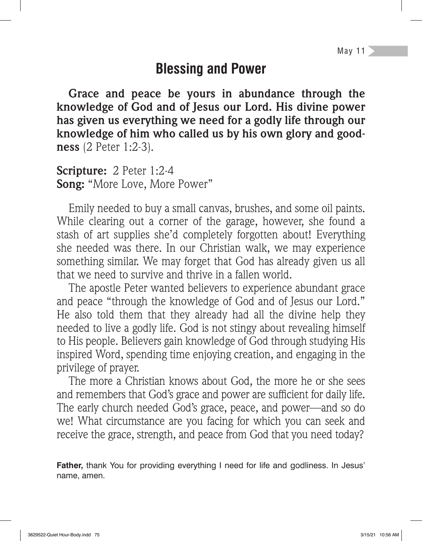## **Blessing and Power**

**Grace and peace be yours in abundance through the knowledge of God and of Jesus our Lord. His divine power has given us everything we need for a godly life through our knowledge of him who called us by his own glory and goodness** (2 Peter 1:2-3).

**Scripture:** 2 Peter 1:2-4 **Song:** "More Love, More Power"

Emily needed to buy a small canvas, brushes, and some oil paints. While clearing out a corner of the garage, however, she found a stash of art supplies she'd completely forgotten about! Everything she needed was there. In our Christian walk, we may experience something similar. We may forget that God has already given us all that we need to survive and thrive in a fallen world.

The apostle Peter wanted believers to experience abundant grace and peace "through the knowledge of God and of Jesus our Lord." He also told them that they already had all the divine help they needed to live a godly life. God is not stingy about revealing himself to His people. Believers gain knowledge of God through studying His inspired Word, spending time enjoying creation, and engaging in the privilege of prayer.

The more a Christian knows about God, the more he or she sees and remembers that God's grace and power are sufficient for daily life. The early church needed God's grace, peace, and power—and so do we! What circumstance are you facing for which you can seek and receive the grace, strength, and peace from God that you need today?

**Father,** thank You for providing everything I need for life and godliness. In Jesus' name, amen.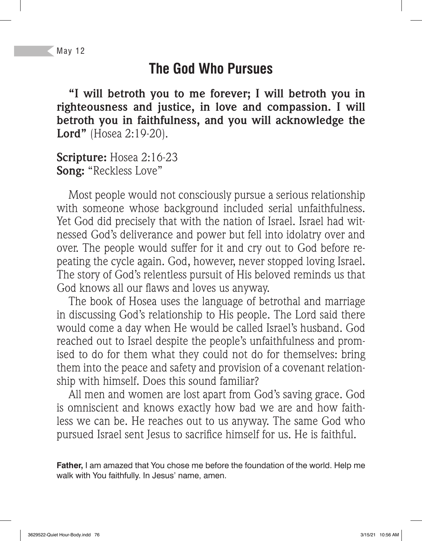## **The God Who Pursues**

**"I will betroth you to me forever; I will betroth you in righteousness and justice, in love and compassion. I will betroth you in faithfulness, and you will acknowledge the Lord"** (Hosea 2:19-20).

**Scripture:** Hosea 2:16-23 **Song:** "Reckless Love"

Most people would not consciously pursue a serious relationship with someone whose background included serial unfaithfulness. Yet God did precisely that with the nation of Israel. Israel had witnessed God's deliverance and power but fell into idolatry over and over. The people would suffer for it and cry out to God before repeating the cycle again. God, however, never stopped loving Israel. The story of God's relentless pursuit of His beloved reminds us that God knows all our flaws and loves us anyway.

The book of Hosea uses the language of betrothal and marriage in discussing God's relationship to His people. The Lord said there would come a day when He would be called Israel's husband. God reached out to Israel despite the people's unfaithfulness and promised to do for them what they could not do for themselves: bring them into the peace and safety and provision of a covenant relationship with himself. Does this sound familiar?

All men and women are lost apart from God's saving grace. God is omniscient and knows exactly how bad we are and how faithless we can be. He reaches out to us anyway. The same God who pursued Israel sent Jesus to sacrifice himself for us. He is faithful.

**Father,** I am amazed that You chose me before the foundation of the world. Help me walk with You faithfully. In Jesus' name, amen.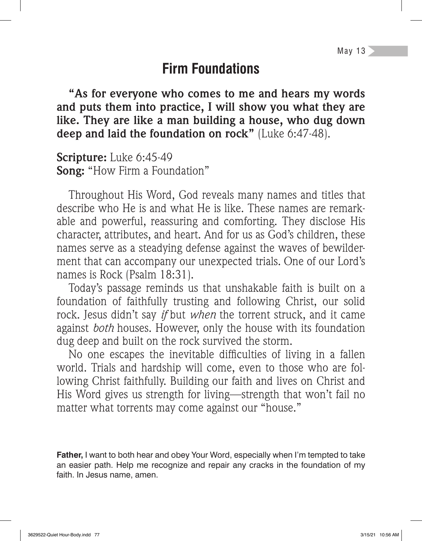## **Firm Foundations**

**"As for everyone who comes to me and hears my words and puts them into practice, I will show you what they are like. They are like a man building a house, who dug down deep and laid the foundation on rock"** (Luke 6:47-48).

**Scripture:** Luke 6:45-49 **Song:** "How Firm a Foundation"

Throughout His Word, God reveals many names and titles that describe who He is and what He is like. These names are remarkable and powerful, reassuring and comforting. They disclose His character, attributes, and heart. And for us as God's children, these names serve as a steadying defense against the waves of bewilderment that can accompany our unexpected trials. One of our Lord's names is Rock (Psalm 18:31).

Today's passage reminds us that unshakable faith is built on a foundation of faithfully trusting and following Christ, our solid rock. Jesus didn't say *if* but *when* the torrent struck, and it came against *both* houses. However, only the house with its foundation dug deep and built on the rock survived the storm.

No one escapes the inevitable difficulties of living in a fallen world. Trials and hardship will come, even to those who are following Christ faithfully. Building our faith and lives on Christ and His Word gives us strength for living—strength that won't fail no matter what torrents may come against our "house."

**Father,** I want to both hear and obey Your Word, especially when I'm tempted to take an easier path. Help me recognize and repair any cracks in the foundation of my faith. In Jesus name, amen.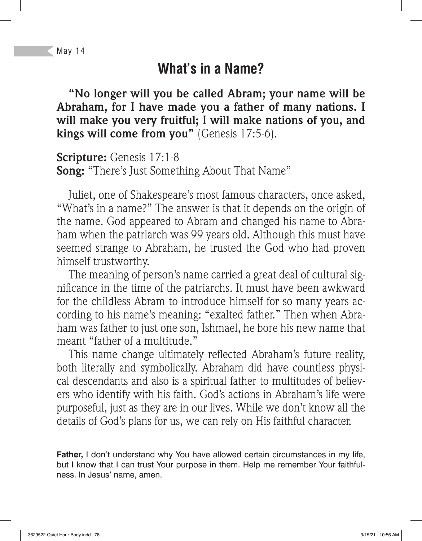# **What's in a Name?**

**"No longer will you be called Abram; your name will be Abraham, for I have made you a father of many nations. I will make you very fruitful; I will make nations of you, and kings will come from you"** (Genesis 17:5-6).

**Scripture:** Genesis 17:1-8 **Song:** "There's Just Something About That Name"

Juliet, one of Shakespeare's most famous characters, once asked, "What's in a name?" The answer is that it depends on the origin of the name. God appeared to Abram and changed his name to Abraham when the patriarch was 99 years old. Although this must have seemed strange to Abraham, he trusted the God who had proven himself trustworthy.

The meaning of person's name carried a great deal of cultural significance in the time of the patriarchs. It must have been awkward for the childless Abram to introduce himself for so many years according to his name's meaning: "exalted father." Then when Abraham was father to just one son, Ishmael, he bore his new name that meant "father of a multitude."

This name change ultimately reflected Abraham's future reality, both literally and symbolically. Abraham did have countless physical descendants and also is a spiritual father to multitudes of believers who identify with his faith. God's actions in Abraham's life were purposeful, just as they are in our lives. While we don't know all the details of God's plans for us, we can rely on His faithful character.

**Father,** I don't understand why You have allowed certain circumstances in my life, but I know that I can trust Your purpose in them. Help me remember Your faithfulness. In Jesus' name, amen.